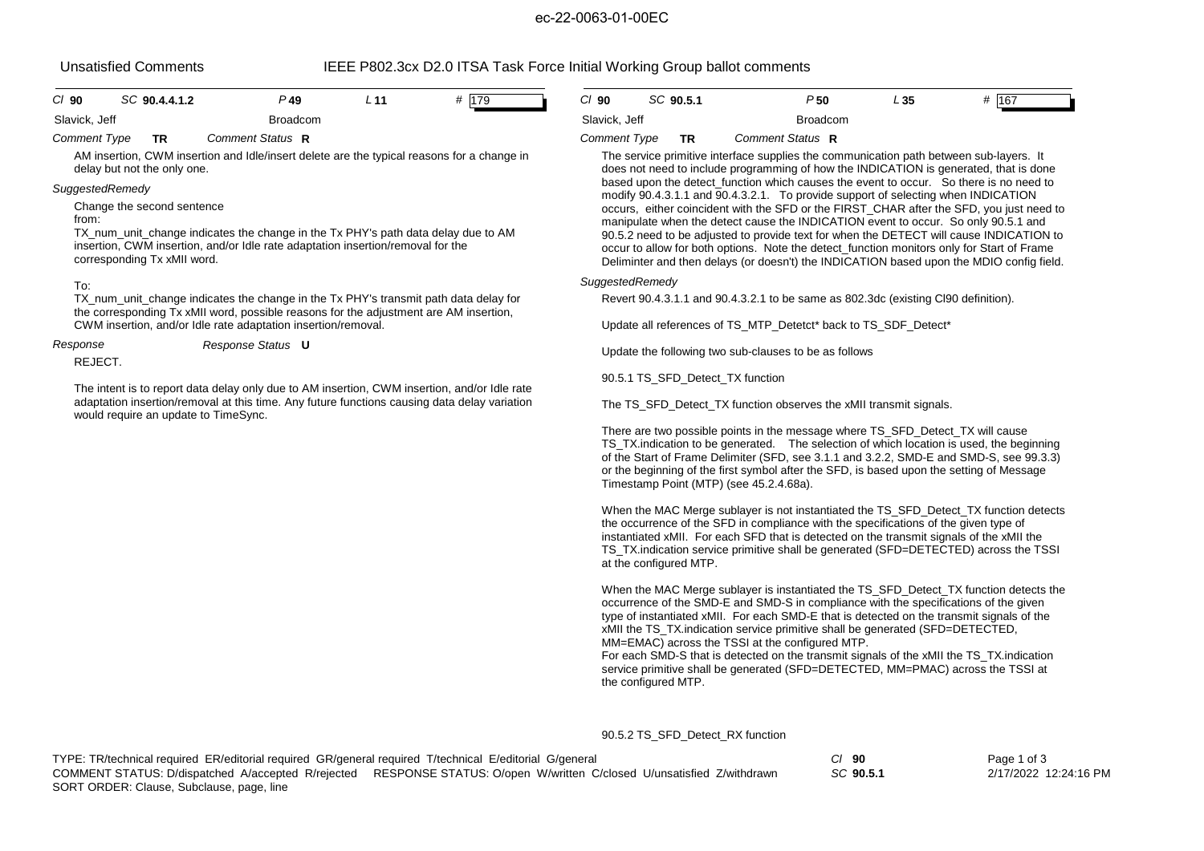# ec-22-0063-01-00EC

Unsatisfied Comments IEEE P802.3cx D2.0 ITSA Task Force Initial Working Group ballot comments

|                     |  | סוואמוואוטט שטוואסווט                                     |                                                                                                                                                                                                                                      |                 | ILLL TOOL.OOA DE.0 TTOM TOON FORC ININGHTYONNING OROUP DOIDER COMMUNIS |                     |           |                                                                                                                                                                                                                                                                                                                                                                                                              |                                                                                                                                                                                                                                                                                                                                                                                                                                                                     |     |       |
|---------------------|--|-----------------------------------------------------------|--------------------------------------------------------------------------------------------------------------------------------------------------------------------------------------------------------------------------------------|-----------------|------------------------------------------------------------------------|---------------------|-----------|--------------------------------------------------------------------------------------------------------------------------------------------------------------------------------------------------------------------------------------------------------------------------------------------------------------------------------------------------------------------------------------------------------------|---------------------------------------------------------------------------------------------------------------------------------------------------------------------------------------------------------------------------------------------------------------------------------------------------------------------------------------------------------------------------------------------------------------------------------------------------------------------|-----|-------|
| $CI$ 90             |  | SC 90.4.4.1.2                                             | $P$ 49                                                                                                                                                                                                                               | L <sub>11</sub> | # 179                                                                  | $CI$ 90             | SC 90.5.1 |                                                                                                                                                                                                                                                                                                                                                                                                              | P50                                                                                                                                                                                                                                                                                                                                                                                                                                                                 | L35 | # 167 |
| Slavick, Jeff       |  |                                                           | <b>Broadcom</b>                                                                                                                                                                                                                      |                 |                                                                        | Slavick, Jeff       |           |                                                                                                                                                                                                                                                                                                                                                                                                              | <b>Broadcom</b>                                                                                                                                                                                                                                                                                                                                                                                                                                                     |     |       |
| <b>Comment Type</b> |  | <b>TR</b>                                                 | Comment Status R                                                                                                                                                                                                                     |                 |                                                                        | <b>Comment Type</b> |           | <b>TR</b>                                                                                                                                                                                                                                                                                                                                                                                                    | Comment Status R                                                                                                                                                                                                                                                                                                                                                                                                                                                    |     |       |
|                     |  | delay but not the only one.                               | AM insertion, CWM insertion and Idle/insert delete are the typical reasons for a change in                                                                                                                                           |                 |                                                                        |                     |           |                                                                                                                                                                                                                                                                                                                                                                                                              | The service primitive interface supplies the communication path between sub-layers. It<br>does not need to include programming of how the INDICATION is generated, that is done                                                                                                                                                                                                                                                                                     |     |       |
| SuggestedRemedy     |  |                                                           |                                                                                                                                                                                                                                      |                 |                                                                        |                     |           |                                                                                                                                                                                                                                                                                                                                                                                                              | based upon the detect function which causes the event to occur. So there is no need to<br>modify 90.4.3.1.1 and 90.4.3.2.1. To provide support of selecting when INDICATION                                                                                                                                                                                                                                                                                         |     |       |
| from:               |  | Change the second sentence<br>corresponding Tx xMII word. | TX_num_unit_change indicates the change in the Tx PHY's path data delay due to AM<br>insertion, CWM insertion, and/or Idle rate adaptation insertion/removal for the                                                                 |                 |                                                                        |                     |           |                                                                                                                                                                                                                                                                                                                                                                                                              | occurs, either coincident with the SFD or the FIRST_CHAR after the SFD, you just need to<br>manipulate when the detect cause the INDICATION event to occur. So only 90.5.1 and<br>90.5.2 need to be adjusted to provide text for when the DETECT will cause INDICATION to<br>occur to allow for both options. Note the detect function monitors only for Start of Frame<br>Deliminter and then delays (or doesn't) the INDICATION based upon the MDIO config field. |     |       |
| To:                 |  |                                                           |                                                                                                                                                                                                                                      |                 |                                                                        | SuggestedRemedy     |           |                                                                                                                                                                                                                                                                                                                                                                                                              |                                                                                                                                                                                                                                                                                                                                                                                                                                                                     |     |       |
|                     |  |                                                           | TX num unit change indicates the change in the Tx PHY's transmit path data delay for<br>the corresponding Tx xMII word, possible reasons for the adjustment are AM insertion,                                                        |                 |                                                                        |                     |           |                                                                                                                                                                                                                                                                                                                                                                                                              | Revert 90.4.3.1.1 and 90.4.3.2.1 to be same as 802.3dc (existing CI90 definition).                                                                                                                                                                                                                                                                                                                                                                                  |     |       |
|                     |  |                                                           | CWM insertion, and/or Idle rate adaptation insertion/removal.                                                                                                                                                                        |                 |                                                                        |                     |           |                                                                                                                                                                                                                                                                                                                                                                                                              | Update all references of TS MTP Detetct* back to TS SDF Detect*                                                                                                                                                                                                                                                                                                                                                                                                     |     |       |
| Response<br>REJECT. |  |                                                           | Response Status U                                                                                                                                                                                                                    |                 |                                                                        |                     |           |                                                                                                                                                                                                                                                                                                                                                                                                              | Update the following two sub-clauses to be as follows                                                                                                                                                                                                                                                                                                                                                                                                               |     |       |
|                     |  |                                                           |                                                                                                                                                                                                                                      |                 |                                                                        |                     |           |                                                                                                                                                                                                                                                                                                                                                                                                              | 90.5.1 TS_SFD_Detect_TX function                                                                                                                                                                                                                                                                                                                                                                                                                                    |     |       |
|                     |  |                                                           | The intent is to report data delay only due to AM insertion, CWM insertion, and/or Idle rate<br>adaptation insertion/removal at this time. Any future functions causing data delay variation<br>would require an update to TimeSync. |                 |                                                                        |                     |           |                                                                                                                                                                                                                                                                                                                                                                                                              | The TS_SFD_Detect_TX function observes the xMII transmit signals.                                                                                                                                                                                                                                                                                                                                                                                                   |     |       |
|                     |  |                                                           |                                                                                                                                                                                                                                      |                 |                                                                        |                     |           | There are two possible points in the message where TS_SFD_Detect_TX will cause<br>TS TX indication to be generated. The selection of which location is used, the beginning<br>of the Start of Frame Delimiter (SFD, see 3.1.1 and 3.2.2, SMD-E and SMD-S, see 99.3.3)<br>or the beginning of the first symbol after the SFD, is based upon the setting of Message<br>Timestamp Point (MTP) (see 45.2.4.68a). |                                                                                                                                                                                                                                                                                                                                                                                                                                                                     |     |       |
|                     |  |                                                           |                                                                                                                                                                                                                                      |                 |                                                                        |                     |           |                                                                                                                                                                                                                                                                                                                                                                                                              | When the MAC Merge sublayer is not instantiated the TS_SFD_Detect_TX function detects                                                                                                                                                                                                                                                                                                                                                                               |     |       |

the occurrence of the SFD in compliance with the specifications of the given type of instantiated xMII. For each SFD that is detected on the transmit signals of the xMII the TS\_TX.indication service primitive shall be generated (SFD=DETECTED) across the TSSI at the configured MTP.

When the MAC Merge sublayer is instantiated the TS\_SFD\_Detect\_TX function detects the occurrence of the SMD-E and SMD-S in compliance with the specifications of the given type of instantiated xMII. For each SMD-E that is detected on the transmit signals of the xMII the TS\_TX.indication service primitive shall be generated (SFD=DETECTED, MM=EMAC) across the TSSI at the configured MTP. For each SMD-S that is detected on the transmit signals of the xMII the TS\_TX.indication

service primitive shall be generated (SFD=DETECTED, MM=PMAC) across the TSSI at the configured MTP.

90.5.2 TS\_SFD\_Detect\_RX function

| TYPE: TR/technical required ER/editorial required GR/general required T/technical E/editorial G/general |                                                                                                                         | $CI$ 90   | Page 1 of 3           |
|---------------------------------------------------------------------------------------------------------|-------------------------------------------------------------------------------------------------------------------------|-----------|-----------------------|
|                                                                                                         | COMMENT STATUS: D/dispatched A/accepted R/reiected RESPONSE STATUS: O/open W/written C/closed U/unsatisfied Z/withdrawn | SC 90.5.1 | 2/17/2022 12:24:16 PM |
| SORT ORDER: Clause, Subclause, page, line                                                               |                                                                                                                         |           |                       |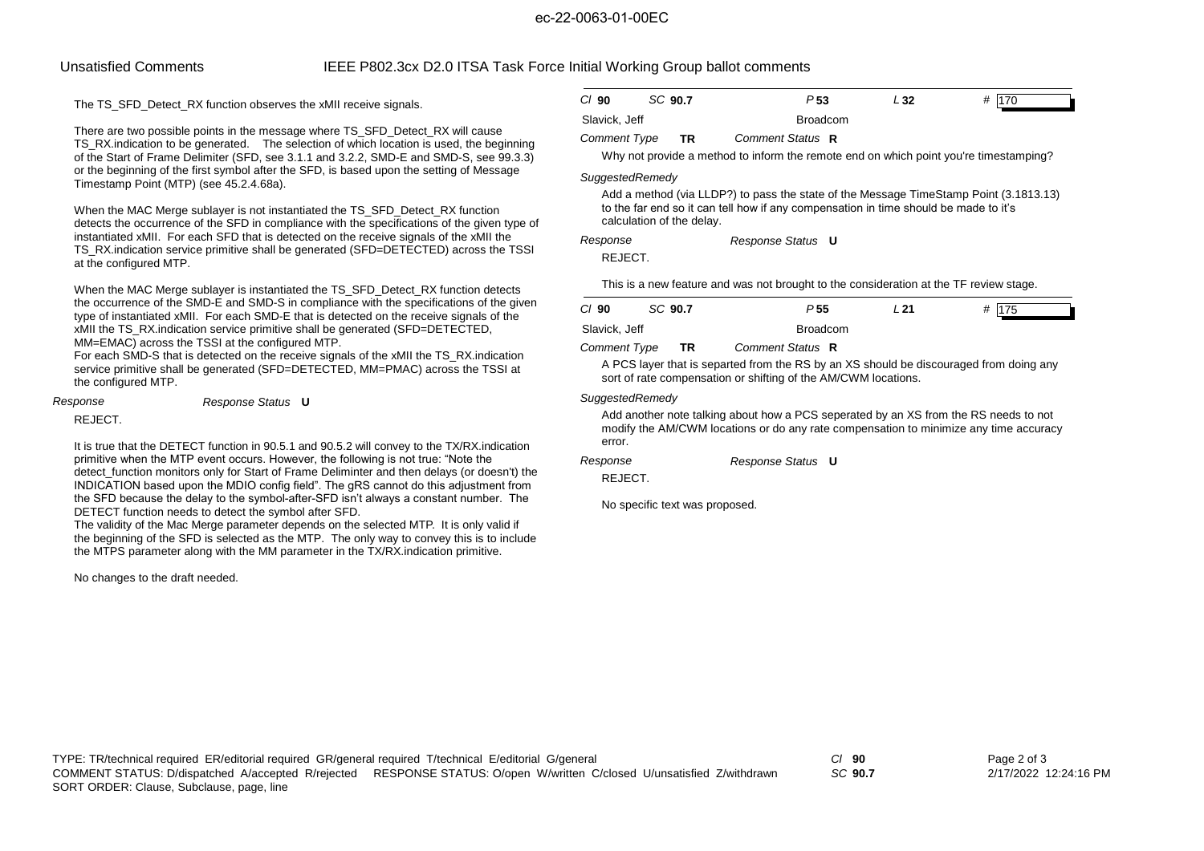### ec-22-0063-01-00EC

## Unsatisfied Comments IEEE P802.3cx D2.0 ITSA Task Force Initial Working Group ballot comments

The TS\_SFD\_Detect\_RX function observes the xMII receive signals.

There are two possible points in the message where TS\_SFD\_Detect\_RX will cause TS\_RX.indication to be generated. The selection of which location is used, the beginning of the Start of Frame Delimiter (SFD, see 3.1.1 and 3.2.2, SMD-E and SMD-S, see 99.3.3) or the beginning of the first symbol after the SFD, is based upon the setting of Message Timestamp Point (MTP) (see 45.2.4.68a).

When the MAC Merge sublayer is not instantiated the TS\_SFD\_Detect\_RX function detects the occurrence of the SFD in compliance with the specifications of the given type of instantiated xMII. For each SFD that is detected on the receive signals of the xMII the TS\_RX.indication service primitive shall be generated (SFD=DETECTED) across the TSSI at the configured MTP.

When the MAC Merge sublayer is instantiated the TS\_SFD\_Detect\_RX function detects the occurrence of the SMD-E and SMD-S in compliance with the specifications of the given type of instantiated xMII. For each SMD-E that is detected on the receive signals of the xMII the TS\_RX.indication service primitive shall be generated (SFD=DETECTED, MM=EMAC) across the TSSI at the configured MTP.

For each SMD-S that is detected on the receive signals of the xMII the TS\_RX.indication service primitive shall be generated (SFD=DETECTED, MM=PMAC) across the TSSI at the configured MTP.

*Response Response Status* **U**

REJECT.

 It is true that the DETECT function in 90.5.1 and 90.5.2 will convey to the TX/RX.indication primitive when the MTP event occurs. However, the following is not true: "Note the detect function monitors only for Start of Frame Deliminter and then delays (or doesn't) the INDICATION based upon the MDIO config field". The gRS cannot do this adjustment from the SFD because the delay to the symbol-after-SFD isn't always a constant number. The DETECT function needs to detect the symbol after SFD.

 The validity of the Mac Merge parameter depends on the selected MTP. It is only valid if the beginning of the SFD is selected as the MTP. The only way to convey this is to include the MTPS parameter along with the MM parameter in the TX/RX.indication primitive.

No changes to the draft needed.

| $Cl$ 90       | SC 90.7 | P <sub>53</sub> | L 32 | # 170 |
|---------------|---------|-----------------|------|-------|
| Slavick, Jeff |         | <b>Broadcom</b> |      |       |

### *Comment Type* **TR** *Comment Status* **R**

Why not provide a method to inform the remote end on which point you're timestamping?

### *SuggestedRemedy*

Add a method (via LLDP?) to pass the state of the Message TimeStamp Point (3.1813.13) to the far end so it can tell how if any compensation in time should be made to it's calculation of the delay.

*Response Status* **U** *Response*

REJECT.

This is a new feature and was not brought to the consideration at the TF review stage.

| $CI$ 90       | SC 90.7 | P 55             | L 21 | # 175 |
|---------------|---------|------------------|------|-------|
| Slavick, Jeff |         | <b>Broadcom</b>  |      |       |
| Comment Type  | TR      | Comment Status R |      |       |

A PCS layer that is separted from the RS by an XS should be discouraged from doing any sort of rate compensation or shifting of the AM/CWM locations.

### *SuggestedRemedy*

Add another note talking about how a PCS seperated by an XS from the RS needs to not modify the AM/CWM locations or do any rate compensation to minimize any time accuracy error.

*Response Status* **U** *Response*

REJECT.

No specific text was proposed.

TYPE: TR/technical required ER/editorial required GR/general required T/technical E/editorial G/general *Cl* **90** SORT ORDER: Clause, Subclause, page, line COMMENT STATUS: D/dispatched A/accepted R/rejected RESPONSE STATUS: O/open W/written C/closed U/unsatisfied Z/withdrawn

*SC* **90.7**

Page 2 of 3 2/17/2022 12:24:16 PM